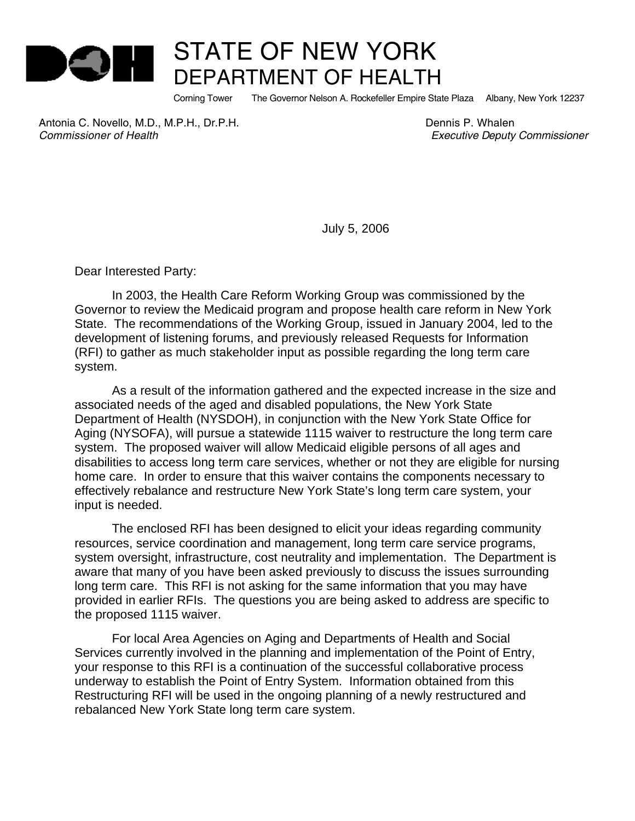

## STATE OF NEW YORK DEPARTMENT OF HEALTH

Corning Tower The Governor Nelson A. Rockefeller Empire State Plaza Albany, New York 12237

Antonia C. Novello, M.D., M.P.H., Dr.P.H. **Britannia C. Whalen** Dennis P. Whalen *Commissioner of Health Executive Deputy Commissioner*

July 5, 2006

Dear Interested Party:

In 2003, the Health Care Reform Working Group was commissioned by the Governor to review the Medicaid program and propose health care reform in New York State. The recommendations of the Working Group, issued in January 2004, led to the development of listening forums, and previously released Requests for Information (RFI) to gather as much stakeholder input as possible regarding the long term care system.

As a result of the information gathered and the expected increase in the size and associated needs of the aged and disabled populations, the New York State Department of Health (NYSDOH), in conjunction with the New York State Office for Aging (NYSOFA), will pursue a statewide 1115 waiver to restructure the long term care system. The proposed waiver will allow Medicaid eligible persons of all ages and disabilities to access long term care services, whether or not they are eligible for nursing home care. In order to ensure that this waiver contains the components necessary to effectively rebalance and restructure New York State's long term care system, your input is needed.

The enclosed RFI has been designed to elicit your ideas regarding community resources, service coordination and management, long term care service programs, system oversight, infrastructure, cost neutrality and implementation. The Department is aware that many of you have been asked previously to discuss the issues surrounding long term care. This RFI is not asking for the same information that you may have provided in earlier RFIs. The questions you are being asked to address are specific to the proposed 1115 waiver.

For local Area Agencies on Aging and Departments of Health and Social Services currently involved in the planning and implementation of the Point of Entry, your response to this RFI is a continuation of the successful collaborative process underway to establish the Point of Entry System. Information obtained from this Restructuring RFI will be used in the ongoing planning of a newly restructured and rebalanced New York State long term care system.